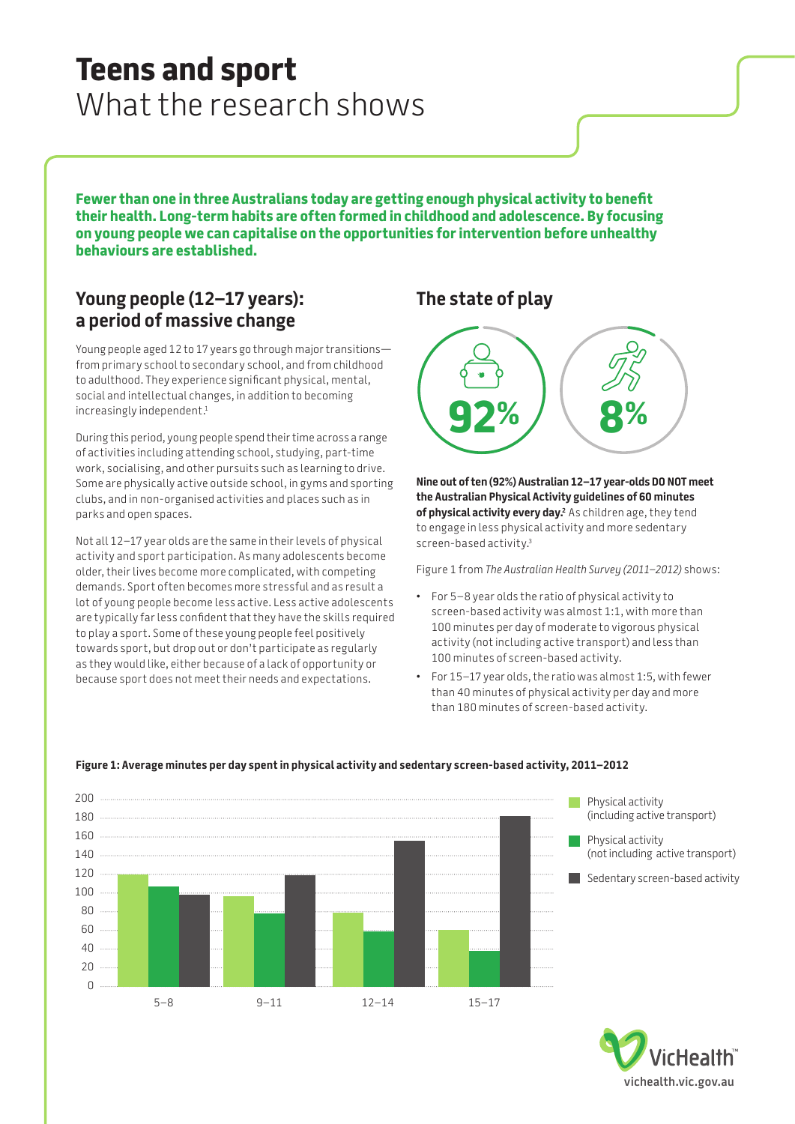# **Teens and sport**  What the research shows

**Fewer than one in three Australians today are getting enough physical activity to benefit their health. Long-term habits are often formed in childhood and adolescence. By focusing on young people we can capitalise on the opportunities for intervention before unhealthy behaviours are established.**

# **Young people (12–17 years): a period of massive change**

Young people aged 12 to 17 years go through major transitions from primary school to secondary school, and from childhood to adulthood. They experience significant physical, mental, social and intellectual changes, in addition to becoming increasingly independent.<sup>1</sup>

During this period, young people spend their time across a range of activities including attending school, studying, part-time work, socialising, and other pursuits such as learning to drive. Some are physically active outside school, in gyms and sporting clubs, and in non-organised activities and places such as in parks and open spaces.

Not all 12–17 year olds are the same in their levels of physical activity and sport participation. As many adolescents become older, their lives become more complicated, with competing demands. Sport often becomes more stressful and as result a lot of young people become less active. Less active adolescents are typically far less confident that they have the skills required to play a sport. Some of these young people feel positively towards sport, but drop out or don't participate as regularly as they would like, either because of a lack of opportunity or because sport does not meet their needs and expectations.

# **The state of play**



**Nine out of ten (92%) Australian 12–17 year-olds DO NOT meet the Australian Physical Activity guidelines of 60 minutes of physical activity every day.**<sup>2</sup> As children age, they tend to engage in less physical activity and more sedentary screen-based activity.3

Figure 1 from *The Australian Health Survey (2011–2012)* shows:

- For 5–8 year olds the ratio of physical activity to screen-based activity was almost 1:1, with more than 100 minutes per day of moderate to vigorous physical activity (not including active transport) and less than 100 minutes of screen-based activity.
- For 15–17 year olds, the ratio was almost 1:5, with fewer than 40 minutes of physical activity per day and more than 180 minutes of screen-based activity.



### **Figure 1: Average minutes per day spent in physical activity and sedentary screen-based activity, 2011–2012**

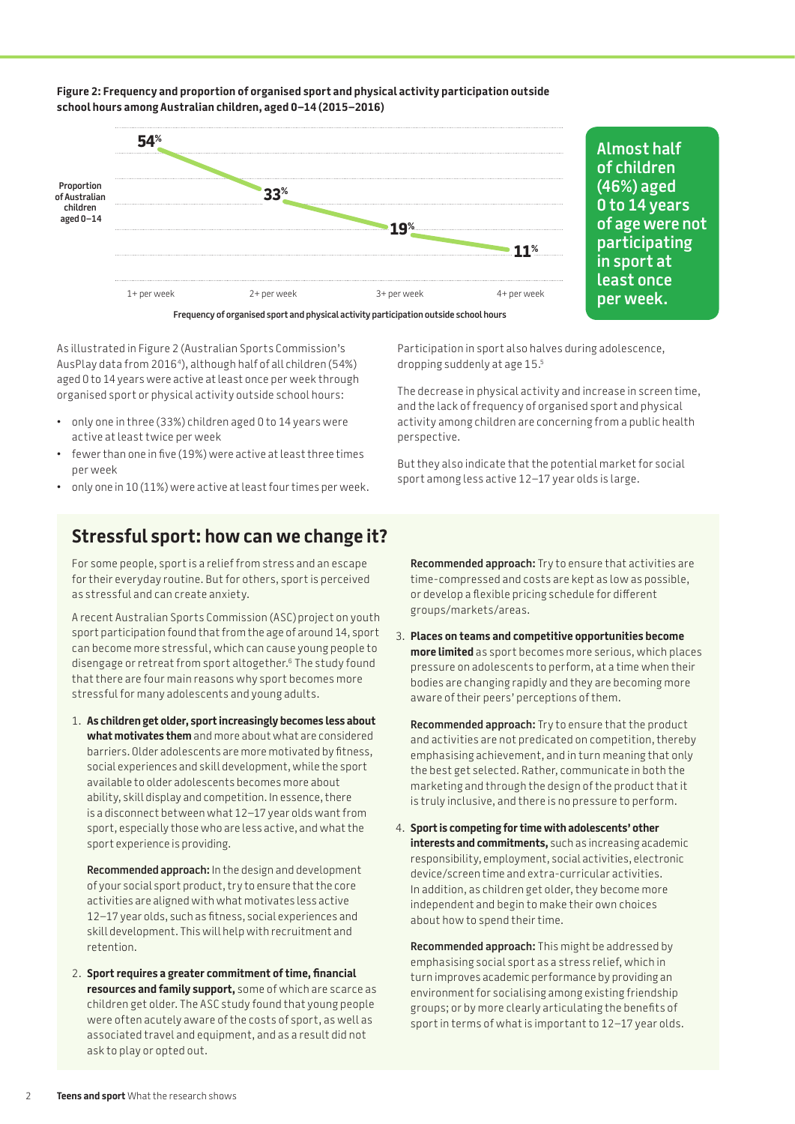

**Figure 2: Frequency and proportion of organised sport and physical activity participation outside** 

**Almost half of children (46%) aged 0 to 14 years of age were not participating in sport at least once per week.** 

As illustrated in Figure 2 (Australian Sports Commission's AusPlay data from 2016<sup>4</sup>), although half of all children (54%) aged 0 to 14 years were active at least once per week through organised sport or physical activity outside school hours:

**school hours among Australian children, aged 0–14 (2015–2016)**

- only one in three (33%) children aged 0 to 14 years were active at least twice per week
- fewer than one in five (19%) were active at least three times per week
- only one in 10 (11%) were active at least four times per week.

Participation in sport also halves during adolescence, dropping suddenly at age 15.5

The decrease in physical activity and increase in screen time, and the lack of frequency of organised sport and physical activity among children are concerning from a public health perspective.

But they also indicate that the potential market for social sport among less active 12–17 year olds is large.

# **Stressful sport: how can we change it?**

For some people, sport is a relief from stress and an escape for their everyday routine. But for others, sport is perceived as stressful and can create anxiety.

A recent Australian Sports Commission (ASC)project on youth sport participation found that from the age of around 14, sport can become more stressful, which can cause young people to disengage or retreat from sport altogether.6 The study found that there are four main reasons why sport becomes more stressful for many adolescents and young adults.

1. **As children get older, sport increasingly becomes less about what motivates them** and more about what are considered barriers. Older adolescents are more motivated by fitness, social experiences and skill development, while the sport available to older adolescents becomes more about ability, skill display and competition. In essence, there is a disconnect between what 12–17 year olds want from sport, especially those who are less active, and what the sport experience is providing.

**Recommended approach:** In the design and development of your social sport product, try to ensure that the core activities are aligned with what motivates less active 12–17 year olds, such as fitness, social experiences and skill development. This will help with recruitment and retention.

2. **Sport requires a greater commitment of time, financial resources and family support,** some of which are scarce as children get older. The ASC study found that young people were often acutely aware of the costs of sport, as well as associated travel and equipment, and as a result did not ask to play or opted out.

**Recommended approach:** Try to ensure that activities are time-compressed and costs are kept as low as possible, or develop a flexible pricing schedule for different groups/markets/areas.

3. **Places on teams and competitive opportunities become more limited** as sport becomes more serious, which places pressure on adolescents to perform, at a time when their bodies are changing rapidly and they are becoming more aware of their peers' perceptions of them.

**Recommended approach:** Try to ensure that the product and activities are not predicated on competition, thereby emphasising achievement, and in turn meaning that only the best get selected. Rather, communicate in both the marketing and through the design of the product that it is truly inclusive, and there is no pressure to perform.

4. **Sport is competing for time with adolescents' other interests and commitments,** such as increasing academic responsibility, employment, social activities, electronic device/screen time and extra-curricular activities. In addition, as children get older, they become more independent and begin to make their own choices about how to spend their time.

**Recommended approach:** This might be addressed by emphasising social sport as a stress relief, which in turn improves academic performance by providing an environment for socialising among existing friendship groups; or by more clearly articulating the benefits of sport in terms of what is important to 12–17 year olds.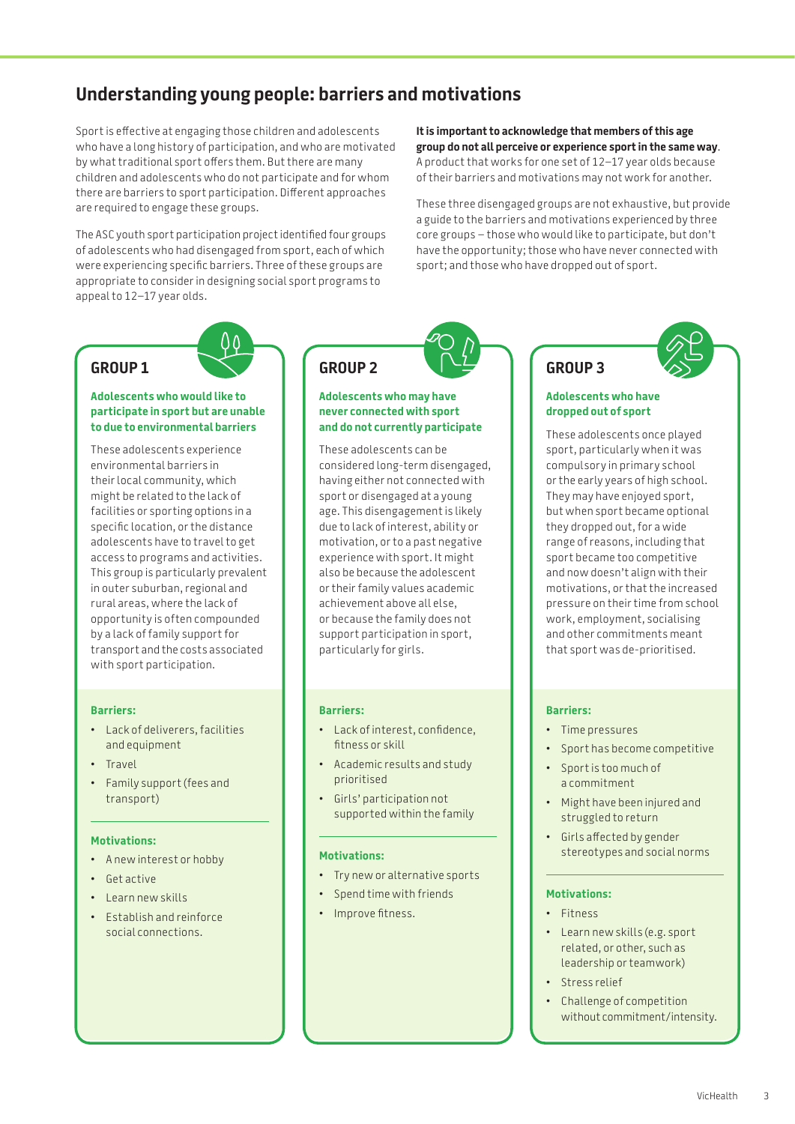# **Understanding young people: barriers and motivations**

Sport is effective at engaging those children and adolescents who have a long history of participation, and who are motivated by what traditional sport offers them. But there are many children and adolescents who do not participate and for whom there are barriers to sport participation. Different approaches are required to engage these groups.

The ASC youth sport participation project identified four groups of adolescents who had disengaged from sport, each of which were experiencing specific barriers. Three of these groups are appropriate to consider in designing social sport programs to appeal to 12–17 year olds.

**It is important to acknowledge that members of this age group do not all perceive or experience sport in the same way**. A product that works for one set of 12–17 year olds because of their barriers and motivations may not work for another.

These three disengaged groups are not exhaustive, but provide a guide to the barriers and motivations experienced by three core groups – those who would like to participate, but don't have the opportunity; those who have never connected with sport; and those who have dropped out of sport.

# **GROUP 1**

#### **Adolescents who would like to participate in sport but are unable to due to environmental barriers**

These adolescents experience environmental barriers in their local community, which might be related to the lack of facilities or sporting options in a specific location, or the distance adolescents have to travel to get access to programs and activities. This group is particularly prevalent in outer suburban, regional and rural areas, where the lack of opportunity is often compounded by a lack of family support for transport and the costs associated with sport participation.

#### **Barriers:**

- Lack of deliverers, facilities and equipment
- Travel
- Family support (fees and transport)

#### **Motivations:**

- A new interest or hobby
- Get active
- Learn new skills
- Establish and reinforce social connections.

# **GROUP 2**

#### **Adolescents who may have never connected with sport and do not currently participate**

These adolescents can be considered long-term disengaged, having either not connected with sport or disengaged at a young age. This disengagement is likely due to lack of interest, ability or motivation, or to a past negative experience with sport. It might also be because the adolescent or their family values academic achievement above all else, or because the family does not support participation in sport, particularly for girls.

#### **Barriers:**

- Lack of interest, confidence, fitness or skill
- Academic results and study prioritised
- Girls' participation not supported within the family

#### **Motivations:**

- Try new or alternative sports
- Spend time with friends
- Improve fitness.

# **GROUP 3**

#### **Adolescents who have dropped out of sport**

These adolescents once played sport, particularly when it was compulsory in primary school or the early years of high school. They may have enjoyed sport, but when sport became optional they dropped out, for a wide range of reasons, including that sport became too competitive and now doesn't align with their motivations, or that the increased pressure on their time from school work, employment, socialising and other commitments meant that sport was de-prioritised.

#### **Barriers:**

- Time pressures
- Sport has become competitive
- Sport is too much of a commitment
- Might have been injured and struggled to return
- Girls affected by gender stereotypes and social norms

#### **Motivations:**

- Fitness
- Learn new skills (e.g. sport related, or other, such as leadership or teamwork)
- Stress relief
- Challenge of competition without commitment/intensity.